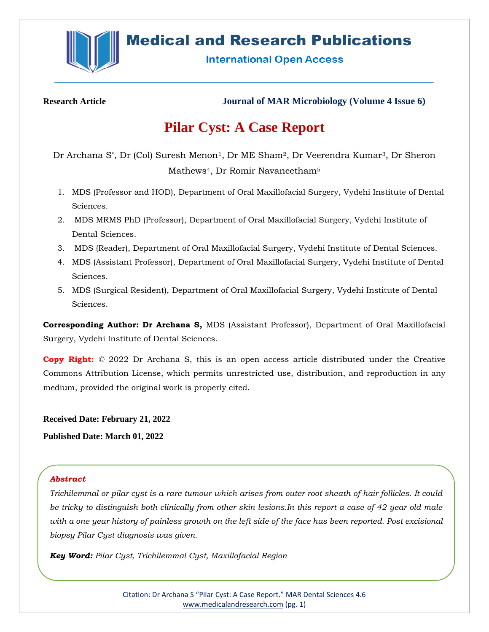

# **Medical and Research Publications**

**International Open Access** 

**Research Article Journal of MAR Microbiology (Volume 4 Issue 6)**

# **Pilar Cyst: A Case Report**

Dr Archana S<sup>\*</sup>, Dr (Col) Suresh Menon<sup>1</sup>, Dr ME Sham<sup>2</sup>, Dr Veerendra Kumar<sup>3</sup>, Dr Sheron Mathews<sup>4</sup>, Dr Romir Navaneetham<sup>5</sup>

- 1. MDS (Professor and HOD), Department of Oral Maxillofacial Surgery, Vydehi Institute of Dental Sciences.
- 2. MDS MRMS PhD (Professor), Department of Oral Maxillofacial Surgery, Vydehi Institute of Dental Sciences.
- 3. MDS (Reader), Department of Oral Maxillofacial Surgery, Vydehi Institute of Dental Sciences.
- 4. MDS (Assistant Professor), Department of Oral Maxillofacial Surgery, Vydehi Institute of Dental Sciences.
- 5. MDS (Surgical Resident), Department of Oral Maxillofacial Surgery, Vydehi Institute of Dental Sciences.

**Corresponding Author: Dr Archana S,** MDS (Assistant Professor), Department of Oral Maxillofacial Surgery, Vydehi Institute of Dental Sciences.

**Copy Right:** © 2022 Dr Archana S, this is an open access article distributed under the Creative Commons Attribution License, which permits unrestricted use, distribution, and reproduction in any medium, provided the original work is properly cited.

**Received Date: February 21, 2022**

**Published Date: March 01, 2022**

### *Abstract*

*Trichilemmal or pilar cyst is a rare tumour which arises from outer root sheath of hair follicles. It could be tricky to distinguish both clinically from other skin lesions.In this report a case of 42 year old male with a one year history of painless growth on the left side of the face has been reported. Post excisional biopsy Pilar Cyst diagnosis was given.*

*Key Word: Pilar Cyst, Trichilemmal Cyst, Maxillofacial Region*

Citation: Dr Archana S "Pilar Cyst: A Case Report." MAR Dental Sciences 4.6 [www.medicalandresearch.com](http://www.medicalandresearch.com/) (pg. 1)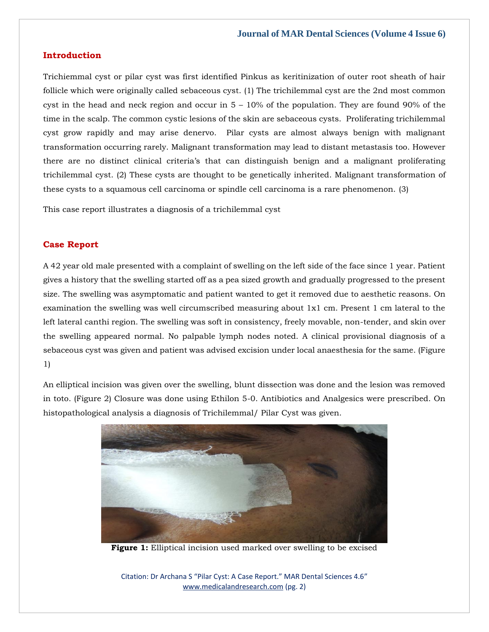#### **Introduction**

Trichiemmal cyst or pilar cyst was first identified Pinkus as keritinization of outer root sheath of hair follicle which were originally called sebaceous cyst. (1) The trichilemmal cyst are the 2nd most common cyst in the head and neck region and occur in  $5 - 10\%$  of the population. They are found 90% of the time in the scalp. The common cystic lesions of the skin are sebaceous cysts. Proliferating trichilemmal cyst grow rapidly and may arise denervo. Pilar cysts are almost always benign with malignant transformation occurring rarely. Malignant transformation may lead to distant metastasis too. However there are no distinct clinical criteria's that can distinguish benign and a malignant proliferating trichilemmal cyst. (2) These cysts are thought to be genetically inherited. Malignant transformation of these cysts to a squamous cell carcinoma or spindle cell carcinoma is a rare phenomenon. (3)

This case report illustrates a diagnosis of a trichilemmal cyst

#### **Case Report**

A 42 year old male presented with a complaint of swelling on the left side of the face since 1 year. Patient gives a history that the swelling started off as a pea sized growth and gradually progressed to the present size. The swelling was asymptomatic and patient wanted to get it removed due to aesthetic reasons. On examination the swelling was well circumscribed measuring about 1x1 cm. Present 1 cm lateral to the left lateral canthi region. The swelling was soft in consistency, freely movable, non-tender, and skin over the swelling appeared normal. No palpable lymph nodes noted. A clinical provisional diagnosis of a sebaceous cyst was given and patient was advised excision under local anaesthesia for the same. (Figure 1)

An elliptical incision was given over the swelling, blunt dissection was done and the lesion was removed in toto. (Figure 2) Closure was done using Ethilon 5-0. Antibiotics and Analgesics were prescribed. On histopathological analysis a diagnosis of Trichilemmal/ Pilar Cyst was given.



**Figure 1:** Elliptical incision used marked over swelling to be excised

Citation: Dr Archana S "Pilar Cyst: A Case Report." MAR Dental Sciences 4.6" [www.medicalandresearch.com](http://www.medicalandresearch.com/) (pg. 2)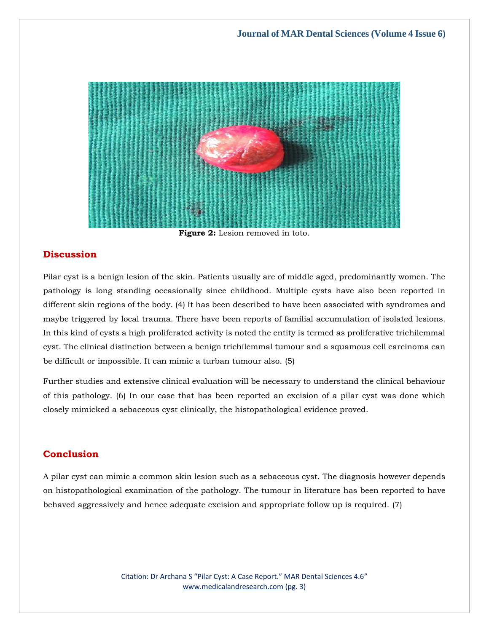

**Figure 2:** Lesion removed in toto.

### **Discussion**

Pilar cyst is a benign lesion of the skin. Patients usually are of middle aged, predominantly women. The pathology is long standing occasionally since childhood. Multiple cysts have also been reported in different skin regions of the body. (4) It has been described to have been associated with syndromes and maybe triggered by local trauma. There have been reports of familial accumulation of isolated lesions. In this kind of cysts a high proliferated activity is noted the entity is termed as proliferative trichilemmal cyst. The clinical distinction between a benign trichilemmal tumour and a squamous cell carcinoma can be difficult or impossible. It can mimic a turban tumour also. (5)

Further studies and extensive clinical evaluation will be necessary to understand the clinical behaviour of this pathology. (6) In our case that has been reported an excision of a pilar cyst was done which closely mimicked a sebaceous cyst clinically, the histopathological evidence proved.

## **Conclusion**

A pilar cyst can mimic a common skin lesion such as a sebaceous cyst. The diagnosis however depends on histopathological examination of the pathology. The tumour in literature has been reported to have behaved aggressively and hence adequate excision and appropriate follow up is required. (7)

> Citation: Dr Archana S "Pilar Cyst: A Case Report." MAR Dental Sciences 4.6" [www.medicalandresearch.com](http://www.medicalandresearch.com/) (pg. 3)